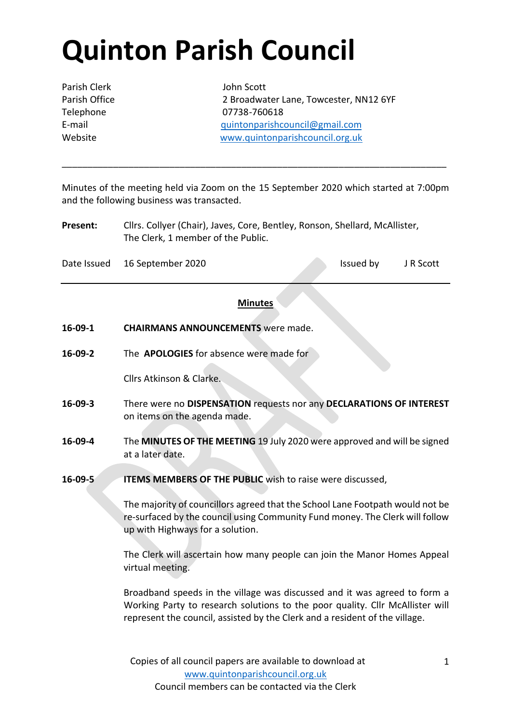# **Quinton Parish Council**

Parish Clerk John Scott

Parish Office 2 Broadwater Lane, Towcester, NN12 6YF Telephone 07738-760618 E-mail [quintonparishcouncil@gmail.com](mailto:quintonparishcouncil@gmail.com) Website [www.quintonparishcouncil.org.uk](http://www.quintonparishcouncil.org.uk/)

Minutes of the meeting held via Zoom on the 15 September 2020 which started at 7:00pm and the following business was transacted.

\_\_\_\_\_\_\_\_\_\_\_\_\_\_\_\_\_\_\_\_\_\_\_\_\_\_\_\_\_\_\_\_\_\_\_\_\_\_\_\_\_\_\_\_\_\_\_\_\_\_\_\_\_\_\_\_\_\_\_\_\_\_\_\_\_\_\_\_\_\_\_\_\_\_\_

**Present:** Cllrs. Collyer (Chair), Javes, Core, Bentley, Ronson, Shellard, McAllister, The Clerk, 1 member of the Public.

Date Issued 16 September 2020 Issued by JR Scott

### **Minutes**

- **16-09-1 CHAIRMANS ANNOUNCEMENTS** were made.
- **16-09-2** The **APOLOGIES** for absence were made for

Cllrs Atkinson & Clarke.

- **16-09-3** There were no **DISPENSATION** requests nor any **DECLARATIONS OF INTEREST**  on items on the agenda made.
- **16-09-4** The **MINUTES OF THE MEETING** 19 July 2020 were approved and will be signed at a later date.
- **16-09-5 ITEMS MEMBERS OF THE PUBLIC** wish to raise were discussed,

The majority of councillors agreed that the School Lane Footpath would not be re-surfaced by the council using Community Fund money. The Clerk will follow up with Highways for a solution.

The Clerk will ascertain how many people can join the Manor Homes Appeal virtual meeting.

Broadband speeds in the village was discussed and it was agreed to form a Working Party to research solutions to the poor quality. Cllr McAllister will represent the council, assisted by the Clerk and a resident of the village.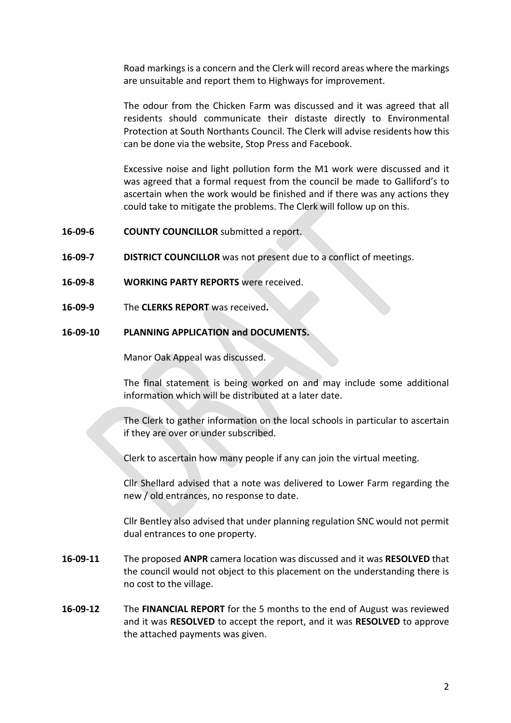Road markings is a concern and the Clerk will record areas where the markings are unsuitable and report them to Highways for improvement.

The odour from the Chicken Farm was discussed and it was agreed that all residents should communicate their distaste directly to Environmental Protection at South Northants Council. The Clerk will advise residents how this can be done via the website, Stop Press and Facebook.

Excessive noise and light pollution form the M1 work were discussed and it was agreed that a formal request from the council be made to Galliford's to ascertain when the work would be finished and if there was any actions they could take to mitigate the problems. The Clerk will follow up on this.

- **16-09-6 COUNTY COUNCILLOR** submitted a report.
- **16-09-7 DISTRICT COUNCILLOR** was not present due to a conflict of meetings.
- **16-09-8 WORKING PARTY REPORTS** were received.
- **16-09-9** The **CLERKS REPORT** was received**.**

#### **16-09-10 PLANNING APPLICATION and DOCUMENTS.**

Manor Oak Appeal was discussed.

The final statement is being worked on and may include some additional information which will be distributed at a later date.

The Clerk to gather information on the local schools in particular to ascertain if they are over or under subscribed.

Clerk to ascertain how many people if any can join the virtual meeting.

Cllr Shellard advised that a note was delivered to Lower Farm regarding the new / old entrances, no response to date.

Cllr Bentley also advised that under planning regulation SNC would not permit dual entrances to one property.

- **16-09-11** The proposed **ANPR** camera location was discussed and it was **RESOLVED** that the council would not object to this placement on the understanding there is no cost to the village.
- **16-09-12** The **FINANCIAL REPORT** for the 5 months to the end of August was reviewed and it was **RESOLVED** to accept the report, and it was **RESOLVED** to approve the attached payments was given.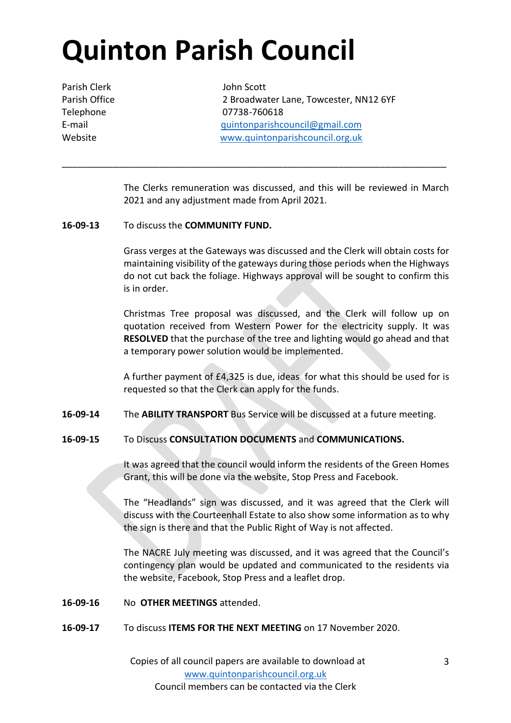# **Quinton Parish Council**

Parish Clerk John Scott

Parish Office 2 Broadwater Lane, Towcester, NN12 6YF Telephone 07738-760618 E-mail [quintonparishcouncil@gmail.com](mailto:quintonparishcouncil@gmail.com) Website [www.quintonparishcouncil.org.uk](http://www.quintonparishcouncil.org.uk/)

> The Clerks remuneration was discussed, and this will be reviewed in March 2021 and any adjustment made from April 2021.

\_\_\_\_\_\_\_\_\_\_\_\_\_\_\_\_\_\_\_\_\_\_\_\_\_\_\_\_\_\_\_\_\_\_\_\_\_\_\_\_\_\_\_\_\_\_\_\_\_\_\_\_\_\_\_\_\_\_\_\_\_\_\_\_\_\_\_\_\_\_\_\_\_\_\_

### **16-09-13** To discuss the **COMMUNITY FUND.**

Grass verges at the Gateways was discussed and the Clerk will obtain costs for maintaining visibility of the gateways during those periods when the Highways do not cut back the foliage. Highways approval will be sought to confirm this is in order.

Christmas Tree proposal was discussed, and the Clerk will follow up on quotation received from Western Power for the electricity supply. It was **RESOLVED** that the purchase of the tree and lighting would go ahead and that a temporary power solution would be implemented.

A further payment of £4,325 is due, ideas for what this should be used for is requested so that the Clerk can apply for the funds.

### **16-09-14** The **ABILITY TRANSPORT** Bus Service will be discussed at a future meeting.

### **16-09-15** To Discuss **CONSULTATION DOCUMENTS** and **COMMUNICATIONS.**

It was agreed that the council would inform the residents of the Green Homes Grant, this will be done via the website, Stop Press and Facebook.

The "Headlands" sign was discussed, and it was agreed that the Clerk will discuss with the Courteenhall Estate to also show some information as to why the sign is there and that the Public Right of Way is not affected.

The NACRE July meeting was discussed, and it was agreed that the Council's contingency plan would be updated and communicated to the residents via the website, Facebook, Stop Press and a leaflet drop.

- **16-09-16** No **OTHER MEETINGS** attended.
- **16-09-17** To discuss **ITEMS FOR THE NEXT MEETING** on 17 November 2020.